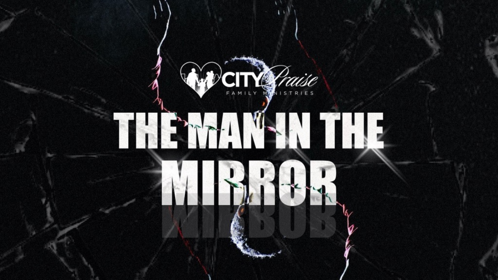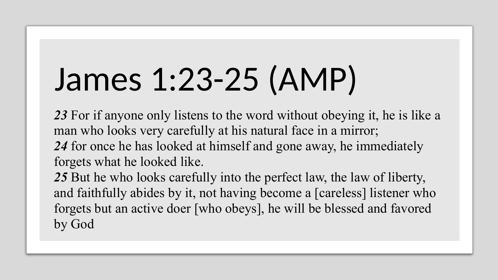## James 1:23-25 (AMP)

*23* For if anyone only listens to the word without obeying it, he is like a man who looks very carefully at his natural face in a mirror; *24* for once he has looked at himself and gone away, he immediately forgets what he looked like.

*25* But he who looks carefully into the perfect law, the law of liberty, and faithfully abides by it, not having become a [careless] listener who forgets but an active doer [who obeys], he will be blessed and favored by God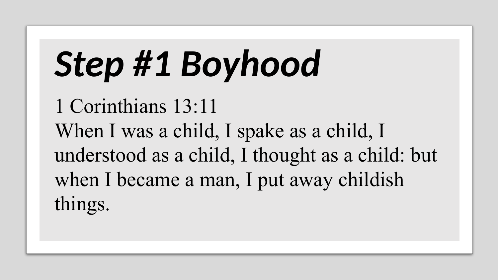# *Step #1 Boyhood*

1 Corinthians 13:11 When I was a child, I spake as a child, I understood as a child, I thought as a child: but when I became a man, I put away childish things.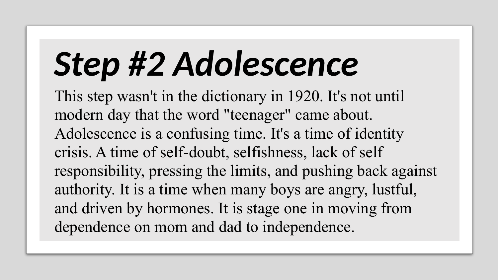# *Step #2 Adolescence*

This step wasn't in the dictionary in 1920. It's not until modern day that the word "teenager" came about. Adolescence is a confusing time. It's a time of identity crisis. A time of self-doubt, selfishness, lack of self responsibility, pressing the limits, and pushing back against authority. It is a time when many boys are angry, lustful, and driven by hormones. It is stage one in moving from dependence on mom and dad to independence.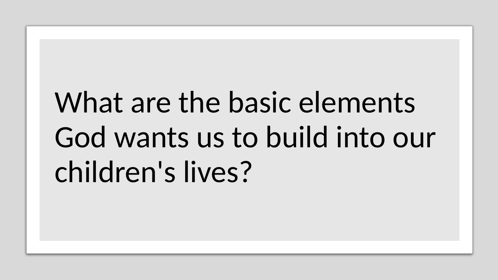#### What are the basic elements God wants us to build into our children's lives?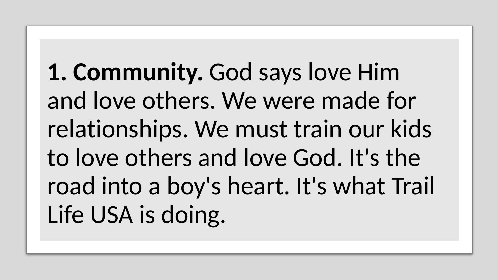**1. Community.** God says love Him and love others. We were made for relationships. We must train our kids to love others and love God. It's the road into a boy's heart. It's what Trail Life USA is doing.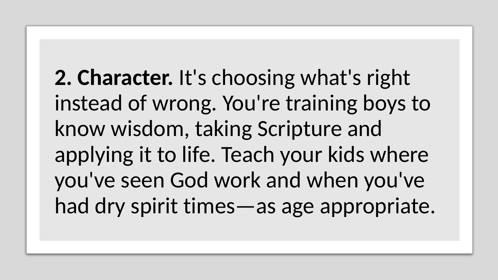**2. Character.** It's choosing what's right instead of wrong. You're training boys to know wisdom, taking Scripture and applying it to life. Teach your kids where you've seen God work and when you've had dry spirit times—as age appropriate.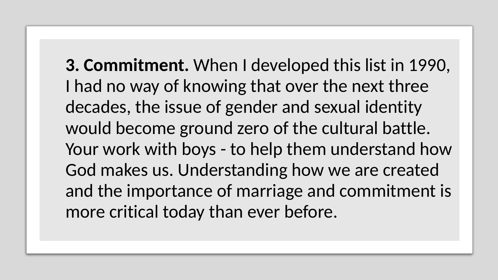**3. Commitment.** When I developed this list in 1990, I had no way of knowing that over the next three decades, the issue of gender and sexual identity would become ground zero of the cultural battle. Your work with boys - to help them understand how God makes us. Understanding how we are created and the importance of marriage and commitment is more critical today than ever before.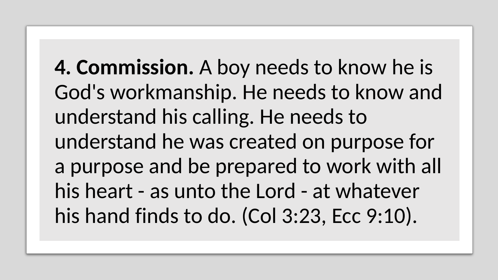**4. Commission.** A boy needs to know he is God's workmanship. He needs to know and understand his calling. He needs to understand he was created on purpose for a purpose and be prepared to work with all his heart - as unto the Lord - at whatever his hand finds to do. (Col 3:23, Ecc 9:10).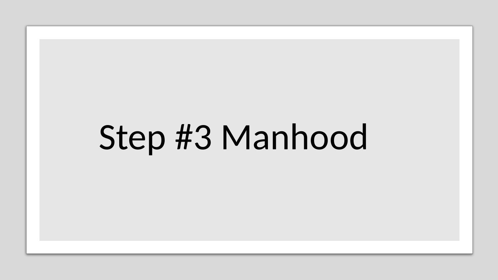#### Step #3 Manhood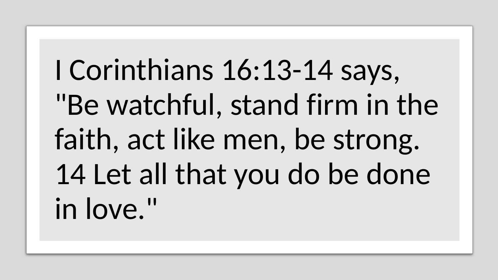I Corinthians 16:13-14 says, "Be watchful, stand firm in the faith, act like men, be strong. 14 Let all that you do be done in love."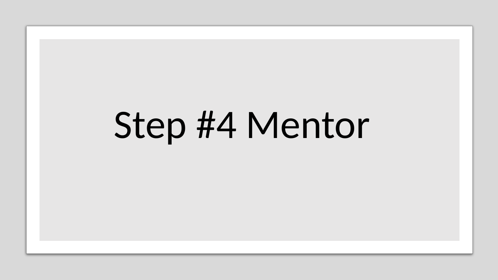# Step #4 Mentor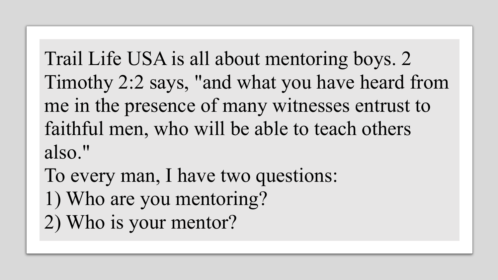Trail Life USA is all about mentoring boys. 2 Timothy 2:2 says, "and what you have heard from me in the presence of many witnesses entrust to faithful men, who will be able to teach others also."

To every man, I have two questions: 1) Who are you mentoring? 2) Who is your mentor?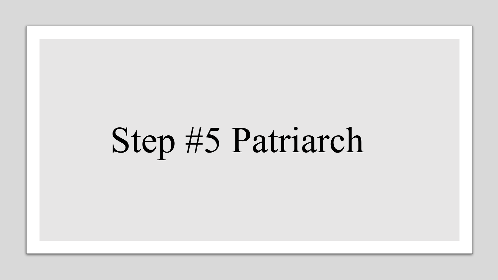# Step #5 Patriarch